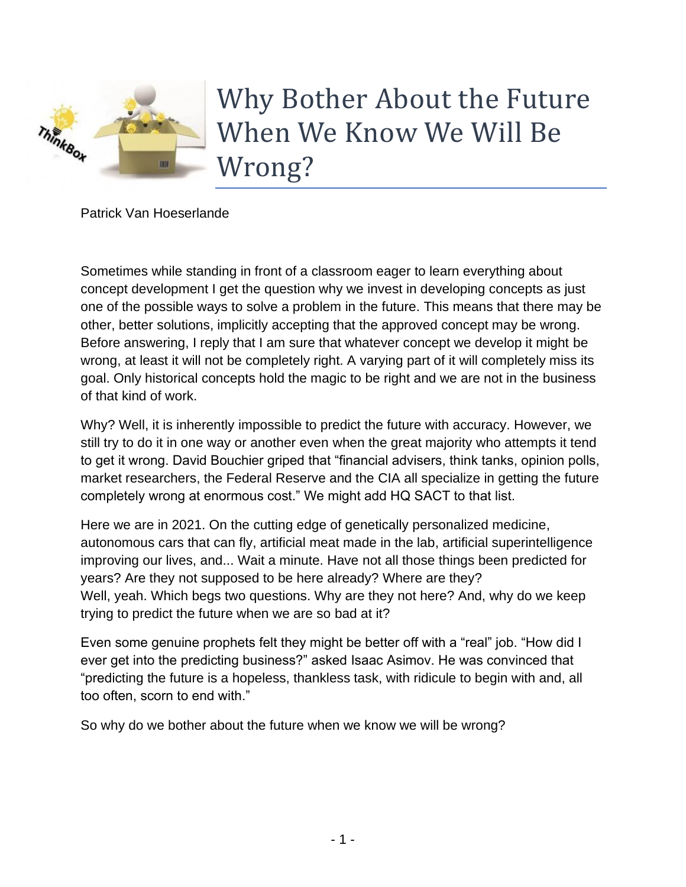

Why Bother About the Future When We Know We Will Be Wrong?

Patrick Van Hoeserlande

Sometimes while standing in front of a classroom eager to learn everything about concept development I get the question why we invest in developing concepts as just one of the possible ways to solve a problem in the future. This means that there may be other, better solutions, implicitly accepting that the approved concept may be wrong. Before answering, I reply that I am sure that whatever concept we develop it might be wrong, at least it will not be completely right. A varying part of it will completely miss its goal. Only historical concepts hold the magic to be right and we are not in the business of that kind of work.

Why? Well, it is inherently impossible to predict the future with accuracy. However, we still try to do it in one way or another even when the great majority who attempts it tend to get it wrong. David Bouchier griped that "financial advisers, think tanks, opinion polls, market researchers, the Federal Reserve and the CIA all specialize in getting the future completely wrong at enormous cost." We might add HQ SACT to that list.

Here we are in 2021. On the cutting edge of genetically personalized medicine, autonomous cars that can fly, artificial meat made in the lab, artificial superintelligence improving our lives, and... Wait a minute. Have not all those things been predicted for years? Are they not supposed to be here already? Where are they? Well, yeah. Which begs two questions. Why are they not here? And, why do we keep trying to predict the future when we are so bad at it?

Even some genuine prophets felt they might be better off with a "real" job. "How did I ever get into the predicting business?" asked Isaac Asimov. He was convinced that "predicting the future is a hopeless, thankless task, with ridicule to begin with and, all too often, scorn to end with."

So why do we bother about the future when we know we will be wrong?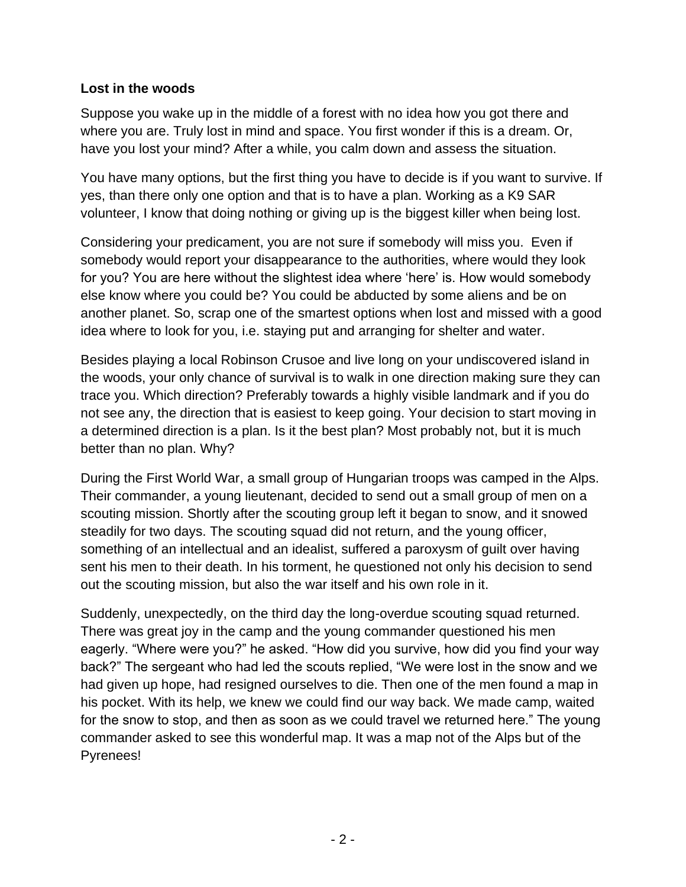## **Lost in the woods**

Suppose you wake up in the middle of a forest with no idea how you got there and where you are. Truly lost in mind and space. You first wonder if this is a dream. Or, have you lost your mind? After a while, you calm down and assess the situation.

You have many options, but the first thing you have to decide is if you want to survive. If yes, than there only one option and that is to have a plan. Working as a K9 SAR volunteer, I know that doing nothing or giving up is the biggest killer when being lost.

Considering your predicament, you are not sure if somebody will miss you. Even if somebody would report your disappearance to the authorities, where would they look for you? You are here without the slightest idea where 'here' is. How would somebody else know where you could be? You could be abducted by some aliens and be on another planet. So, scrap one of the smartest options when lost and missed with a good idea where to look for you, i.e. staying put and arranging for shelter and water.

Besides playing a local Robinson Crusoe and live long on your undiscovered island in the woods, your only chance of survival is to walk in one direction making sure they can trace you. Which direction? Preferably towards a highly visible landmark and if you do not see any, the direction that is easiest to keep going. Your decision to start moving in a determined direction is a plan. Is it the best plan? Most probably not, but it is much better than no plan. Why?

During the First World War, a small group of Hungarian troops was camped in the Alps. Their commander, a young lieutenant, decided to send out a small group of men on a scouting mission. Shortly after the scouting group left it began to snow, and it snowed steadily for two days. The scouting squad did not return, and the young officer, something of an intellectual and an idealist, suffered a paroxysm of guilt over having sent his men to their death. In his torment, he questioned not only his decision to send out the scouting mission, but also the war itself and his own role in it.

Suddenly, unexpectedly, on the third day the long-overdue scouting squad returned. There was great joy in the camp and the young commander questioned his men eagerly. "Where were you?" he asked. "How did you survive, how did you find your way back?" The sergeant who had led the scouts replied, "We were lost in the snow and we had given up hope, had resigned ourselves to die. Then one of the men found a map in his pocket. With its help, we knew we could find our way back. We made camp, waited for the snow to stop, and then as soon as we could travel we returned here." The young commander asked to see this wonderful map. It was a map not of the Alps but of the Pyrenees!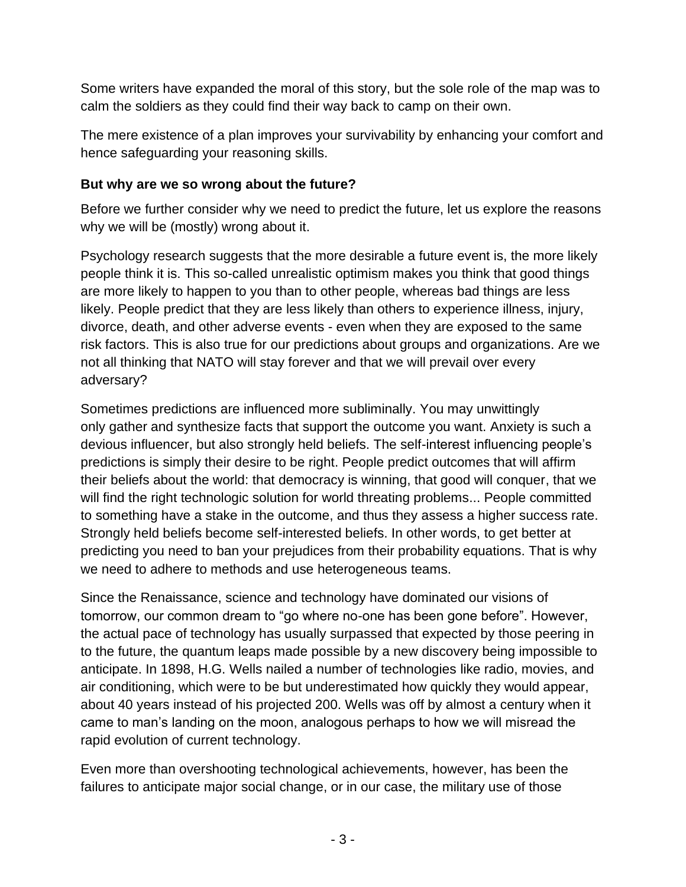Some writers have expanded the moral of this story, but the sole role of the map was to calm the soldiers as they could find their way back to camp on their own.

The mere existence of a plan improves your survivability by enhancing your comfort and hence safeguarding your reasoning skills.

## **But why are we so wrong about the future?**

Before we further consider why we need to predict the future, let us explore the reasons why we will be (mostly) wrong about it.

Psychology research suggests that the more desirable a future event is, the more likely people think it is. This so-called unrealistic optimism makes you think that good things are more likely to happen to you than to other people, whereas bad things are less likely. People predict that they are less likely than others to experience illness, injury, divorce, death, and other adverse events - even when they are exposed to the same risk factors. This is also true for our predictions about groups and organizations. Are we not all thinking that NATO will stay forever and that we will prevail over every adversary?

Sometimes predictions are influenced more subliminally. You may unwittingly only gather and synthesize facts that support the outcome you want. Anxiety is such a devious influencer, but also strongly held beliefs. The self-interest influencing people's predictions is simply their desire to be right. People predict outcomes that will affirm their beliefs about the world: that democracy is winning, that good will conquer, that we will find the right technologic solution for world threating problems... People committed to something have a stake in the outcome, and thus they assess a higher success rate. Strongly held beliefs become self-interested beliefs. In other words, to get better at predicting you need to ban your prejudices from their probability equations. That is why we need to adhere to methods and use heterogeneous teams.

Since the Renaissance, science and technology have dominated our visions of tomorrow, our common dream to "go where no-one has been gone before". However, the actual pace of technology has usually surpassed that expected by those peering in to the future, the quantum leaps made possible by a new discovery being impossible to anticipate. In 1898, H.G. Wells nailed a number of technologies like radio, movies, and air conditioning, which were to be but underestimated how quickly they would appear, about 40 years instead of his projected 200. Wells was off by almost a century when it came to man's landing on the moon, analogous perhaps to how we will misread the rapid evolution of current technology.

Even more than overshooting technological achievements, however, has been the failures to anticipate major social change, or in our case, the military use of those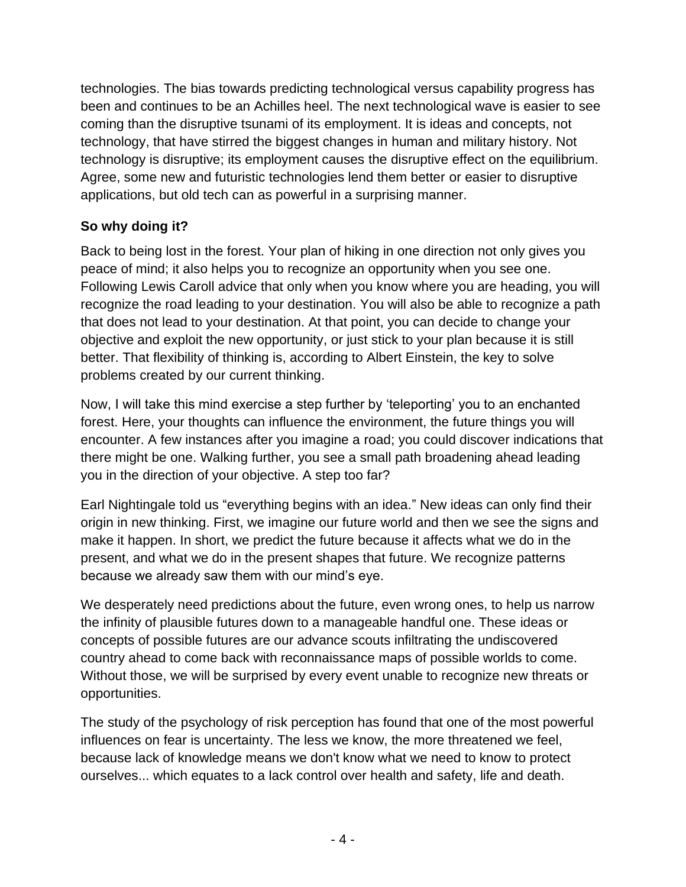technologies. The bias towards predicting technological versus capability progress has been and continues to be an Achilles heel. The next technological wave is easier to see coming than the disruptive tsunami of its employment. It is ideas and concepts, not technology, that have stirred the biggest changes in human and military history. Not technology is disruptive; its employment causes the disruptive effect on the equilibrium. Agree, some new and futuristic technologies lend them better or easier to disruptive applications, but old tech can as powerful in a surprising manner.

## **So why doing it?**

Back to being lost in the forest. Your plan of hiking in one direction not only gives you peace of mind; it also helps you to recognize an opportunity when you see one. Following Lewis Caroll advice that only when you know where you are heading, you will recognize the road leading to your destination. You will also be able to recognize a path that does not lead to your destination. At that point, you can decide to change your objective and exploit the new opportunity, or just stick to your plan because it is still better. That flexibility of thinking is, according to Albert Einstein, the key to solve problems created by our current thinking.

Now, I will take this mind exercise a step further by 'teleporting' you to an enchanted forest. Here, your thoughts can influence the environment, the future things you will encounter. A few instances after you imagine a road; you could discover indications that there might be one. Walking further, you see a small path broadening ahead leading you in the direction of your objective. A step too far?

Earl Nightingale told us "everything begins with an idea." New ideas can only find their origin in new thinking. First, we imagine our future world and then we see the signs and make it happen. In short, we predict the future because it affects what we do in the present, and what we do in the present shapes that future. We recognize patterns because we already saw them with our mind's eye.

We desperately need predictions about the future, even wrong ones, to help us narrow the infinity of plausible futures down to a manageable handful one. These ideas or concepts of possible futures are our advance scouts infiltrating the undiscovered country ahead to come back with reconnaissance maps of possible worlds to come. Without those, we will be surprised by every event unable to recognize new threats or opportunities.

The study of the psychology of risk perception has found that one of the most powerful influences on fear is uncertainty. The less we know, the more threatened we feel, because lack of knowledge means we don't know what we need to know to protect ourselves... which equates to a lack control over health and safety, life and death.